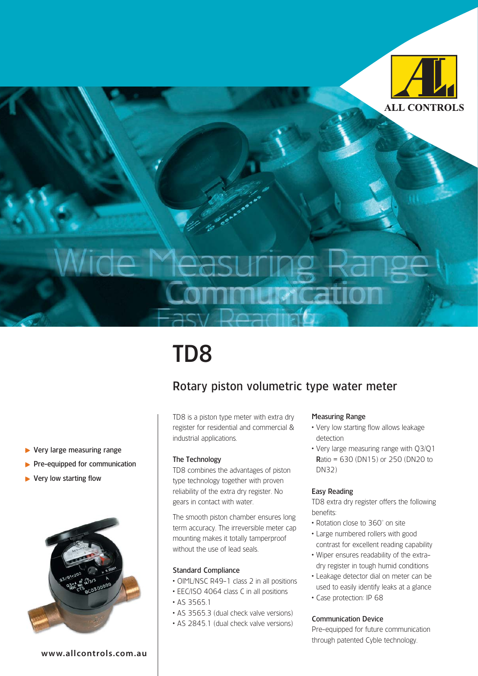

# TD8

### Rotary piston volumetric type water meter

TD8 is a piston type meter with extra dry register for residential and commercial & industrial applications.

### The Technology

TD8 combines the advantages of piston type technology together with proven reliability of the extra dry register. No gears in contact with water.

The smooth piston chamber ensures long term accuracy. The irreversible meter cap mounting makes it totally tamperproof without the use of lead seals.

### Standard Compliance

- OIML/NSC R49-1 class 2 in all positions
- EEC/ISO 4064 class C in all positions
- AS 3565.1
- AS 3565.3 (dual check valve versions)
- AS 2845.1 (dual check valve versions)

#### Measuring Range

- Very low starting flow allows leakage detection
- Very large measuring range with Q3/Q1 Ratio = 630 (DN15) or 250 (DN20 to DN32)

#### Easy Reading

TD8 extra dry register offers the following benefits:

- Rotation close to 360° on site
- Large numbered rollers with good contrast for excellent reading capability
- Wiper ensures readability of the extradry register in tough humid conditions
- Leakage detector dial on meter can be used to easily identify leaks at a glance
- Case protection: IP 68

### Communication Device

Pre-equipped for future communication through patented Cyble technology.

- ▶ Very large measuring range
- $\blacktriangleright$  Pre-equipped for communication
- ▶ Very low starting flow



**www.allcontrols.com.au**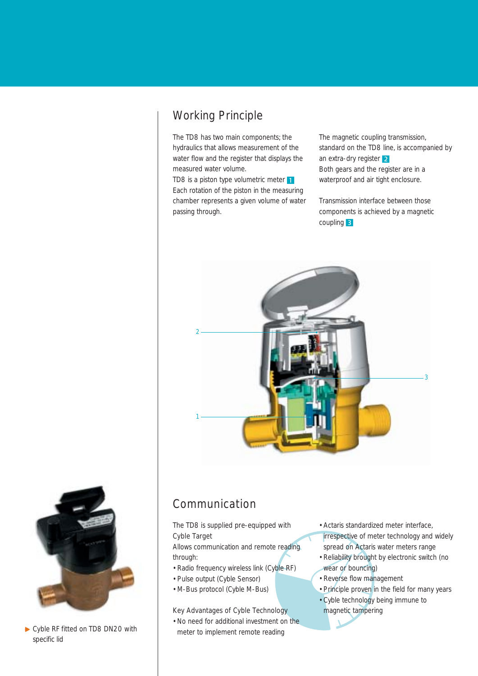## Working Principle

The TD8 has two main components; the hydraulics that allows measurement of the water flow and the register that displays the measured water volume.

TD8 is a piston type volumetric meter 1 Each rotation of the piston in the measuring chamber represents a given volume of water passing through.

The magnetic coupling transmission, standard on the TD8 line, is accompanied by an extra-dry register 2 Both gears and the register are in a waterproof and air tight enclosure.

Transmission interface between those components is achieved by a magnetic coupling 3





▶ Cyble RF fitted on TD8 DN20 with specific lid

# Communication

### The TD8 is supplied pre-equipped with Cyble Target

Allows communication and remote reading through:

- Radio frequency wireless link (Cyble RF)
- Pulse output (Cyble Sensor)
- M-Bus protocol (Cyble M-Bus)

### Key Advantages of Cyble Technology

• No need for additional investment on the meter to implement remote reading

- Actaris standardized meter interface, irrespective of meter technology and widely spread on Actaris water meters range
- Reliability brought by electronic switch (no wear or bouncing)
- Reverse flow management
- Principle proven in the field for many years
- Cyble technology being immune to magnetic tampering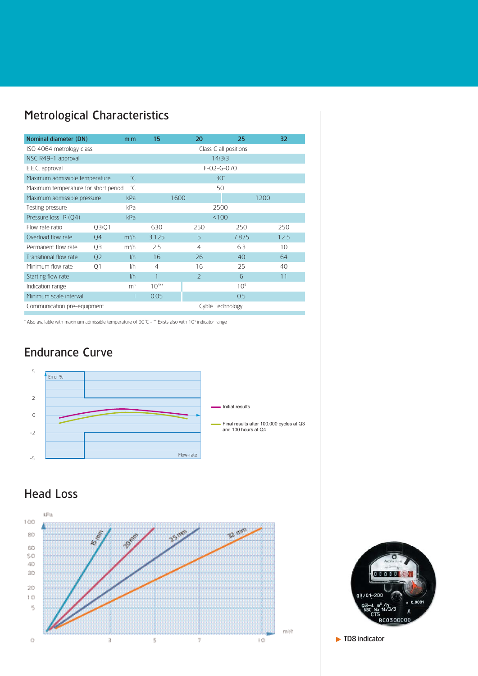# Metrological Characteristics

| Nominal diameter (DN)                      |                | m <sub>m</sub>    | 15                    |      | 20             |                  | 25              |      | 32   |
|--------------------------------------------|----------------|-------------------|-----------------------|------|----------------|------------------|-----------------|------|------|
| ISO 4064 metrology class                   |                |                   | Class C all positions |      |                |                  |                 |      |      |
| NSC R49-1 approval                         |                |                   | 14/3/3                |      |                |                  |                 |      |      |
| E.E.C. approval                            | $F-02-G-070$   |                   |                       |      |                |                  |                 |      |      |
| Maximum admissible temperature             |                | $\degree$ C       |                       |      |                | $30*$            |                 |      |      |
| °C<br>Maximum temperature for short period |                |                   |                       |      |                | 50               |                 |      |      |
| Maximum admissible pressure                |                | kPa               |                       | 1600 |                |                  |                 | 1200 |      |
| Testing pressure                           |                | kPa               |                       |      |                | 2500             |                 |      |      |
| Pressure loss P (O4)                       |                | kPa               |                       |      |                | 100              |                 |      |      |
| Flow rate ratio                            | 03/01          |                   | 630                   |      | 250            |                  | 250             |      | 250  |
| Overload flow rate                         | 04             | $m^3/h$           | 3.125                 |      | 5              |                  | 7.875           |      | 12.5 |
| Permanent flow rate                        | 03             | m <sup>3</sup> /h | 2.5                   |      | 4              |                  | 6.3             |      | 10   |
| Transitional flow rate                     | Q <sub>2</sub> | l/h               | 16                    |      | 26             |                  | 40              |      | 64   |
| Minimum flow rate                          | 01             | l/h               | 4                     |      | 16             |                  | 25              |      | 40   |
| Starting flow rate                         |                | 1/h               |                       |      | $\overline{2}$ |                  | 6               |      | 11   |
| Indication range                           |                | m <sup>3</sup>    | $10^{4**}$            |      |                |                  | 10 <sup>5</sup> |      |      |
| Minimum scale interval                     |                |                   | 0.05                  |      |                |                  | 0.5             |      |      |
| Communication pre-equipment                |                |                   |                       |      |                | Cyble Technology |                 |      |      |

\* Also available with maximum admissible temperature of 90°C - \*\* Exists also with 105 indicator range

# Endurance Curve



# Head Loss





 $\blacktriangleright$  TD8 indicator